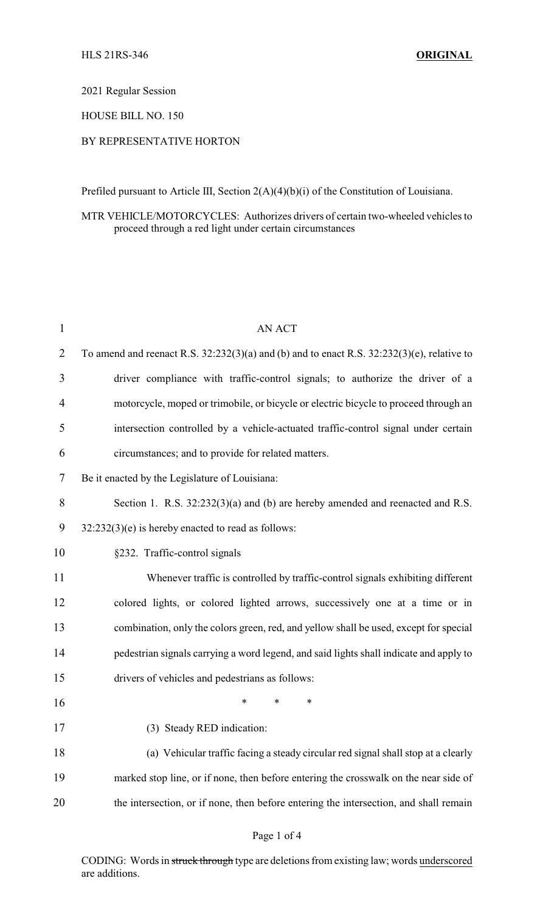#### 2021 Regular Session

### HOUSE BILL NO. 150

## BY REPRESENTATIVE HORTON

Prefiled pursuant to Article III, Section 2(A)(4)(b)(i) of the Constitution of Louisiana.

# MTR VEHICLE/MOTORCYCLES: Authorizes drivers of certain two-wheeled vehicles to proceed through a red light under certain circumstances

| 1              | <b>AN ACT</b>                                                                                   |
|----------------|-------------------------------------------------------------------------------------------------|
| $\overline{2}$ | To amend and reenact R.S. $32:232(3)(a)$ and (b) and to enact R.S. $32:232(3)(e)$ , relative to |
| 3              | driver compliance with traffic-control signals; to authorize the driver of a                    |
| $\overline{4}$ | motorcycle, moped or trimobile, or bicycle or electric bicycle to proceed through an            |
| 5              | intersection controlled by a vehicle-actuated traffic-control signal under certain              |
| 6              | circumstances; and to provide for related matters.                                              |
| 7              | Be it enacted by the Legislature of Louisiana:                                                  |
| 8              | Section 1. R.S. 32:232(3)(a) and (b) are hereby amended and reenacted and R.S.                  |
| 9              | $32:232(3)(e)$ is hereby enacted to read as follows:                                            |
| 10             | §232. Traffic-control signals                                                                   |
| 11             | Whenever traffic is controlled by traffic-control signals exhibiting different                  |
| 12             | colored lights, or colored lighted arrows, successively one at a time or in                     |
| 13             | combination, only the colors green, red, and yellow shall be used, except for special           |
| 14             | pedestrian signals carrying a word legend, and said lights shall indicate and apply to          |
| 15             | drivers of vehicles and pedestrians as follows:                                                 |
| 16             | *<br>∗<br>∗                                                                                     |
| 17             | (3) Steady RED indication:                                                                      |
| 18             | (a) Vehicular traffic facing a steady circular red signal shall stop at a clearly               |
| 19             | marked stop line, or if none, then before entering the crosswalk on the near side of            |
| 20             | the intersection, or if none, then before entering the intersection, and shall remain           |

CODING: Words in struck through type are deletions from existing law; words underscored are additions.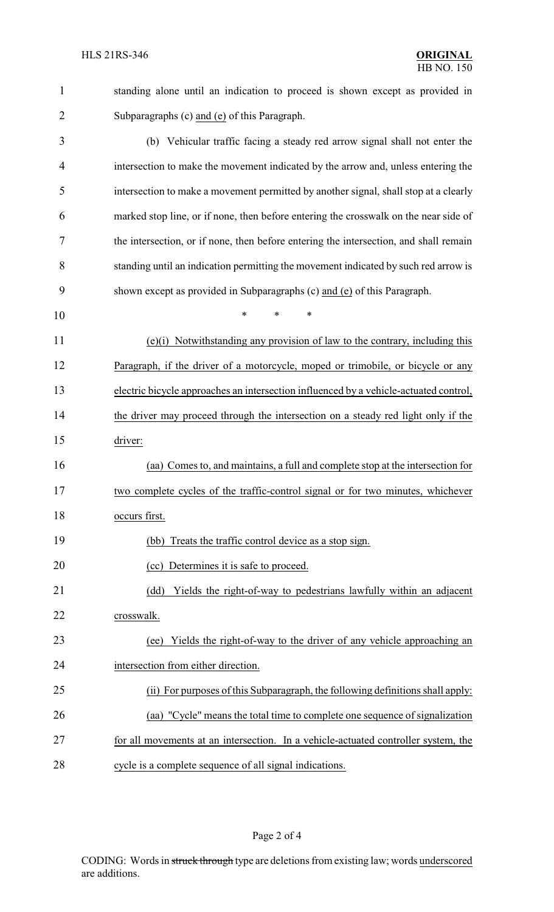| $\mathbf{1}$   | standing alone until an indication to proceed is shown except as provided in          |  |  |
|----------------|---------------------------------------------------------------------------------------|--|--|
| $\overline{2}$ | Subparagraphs (c) and (e) of this Paragraph.                                          |  |  |
| 3              | (b) Vehicular traffic facing a steady red arrow signal shall not enter the            |  |  |
| 4              | intersection to make the movement indicated by the arrow and, unless entering the     |  |  |
| 5              | intersection to make a movement permitted by another signal, shall stop at a clearly  |  |  |
| 6              | marked stop line, or if none, then before entering the crosswalk on the near side of  |  |  |
| 7              | the intersection, or if none, then before entering the intersection, and shall remain |  |  |
| 8              | standing until an indication permitting the movement indicated by such red arrow is   |  |  |
| 9              | shown except as provided in Subparagraphs (c) and (e) of this Paragraph.              |  |  |
| 10             | $\ast$<br>$\ast$<br>∗                                                                 |  |  |
| 11             | (e)(i) Notwithstanding any provision of law to the contrary, including this           |  |  |
| 12             | Paragraph, if the driver of a motorcycle, moped or trimobile, or bicycle or any       |  |  |
| 13             | electric bicycle approaches an intersection influenced by a vehicle-actuated control, |  |  |
| 14             | the driver may proceed through the intersection on a steady red light only if the     |  |  |
| 15             | driver:                                                                               |  |  |
| 16             | (aa) Comes to, and maintains, a full and complete stop at the intersection for        |  |  |
| 17             | two complete cycles of the traffic-control signal or for two minutes, whichever       |  |  |
| 18             | occurs first.                                                                         |  |  |
| 19             | Treats the traffic control device as a stop sign.<br>(bb)                             |  |  |
| 20             | (cc) Determines it is safe to proceed.                                                |  |  |
| 21             | Yields the right-of-way to pedestrians lawfully within an adjacent<br>(dd)            |  |  |
| 22             | crosswalk.                                                                            |  |  |
| 23             | Yields the right-of-way to the driver of any vehicle approaching an<br>(ee)           |  |  |
| 24             | intersection from either direction.                                                   |  |  |
| 25             | (ii) For purposes of this Subparagraph, the following definitions shall apply:        |  |  |
| 26             | (aa) "Cycle" means the total time to complete one sequence of signalization           |  |  |
| 27             | for all movements at an intersection. In a vehicle-actuated controller system, the    |  |  |
| 28             | cycle is a complete sequence of all signal indications.                               |  |  |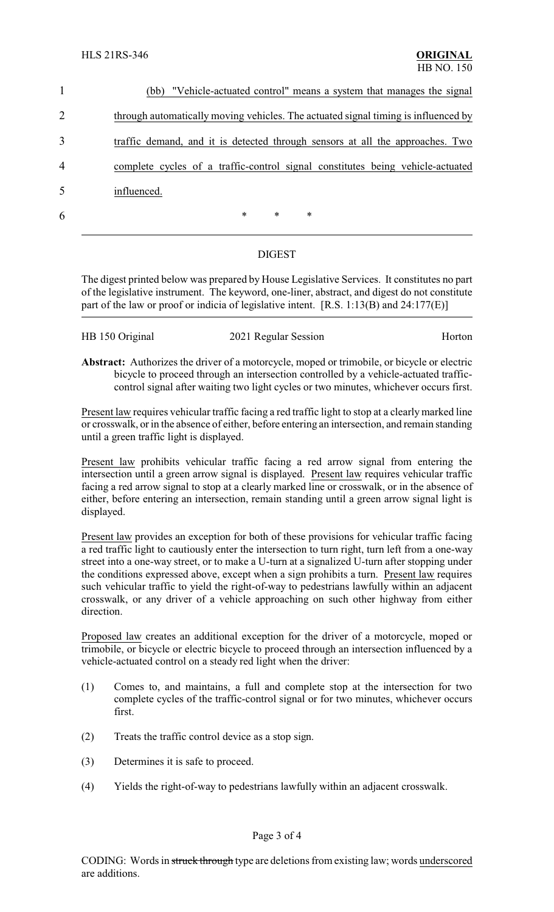|   | (bb) "Vehicle-actuated control" means a system that manages the signal             |
|---|------------------------------------------------------------------------------------|
| 2 | through automatically moving vehicles. The actuated signal timing is influenced by |
| 3 | traffic demand, and it is detected through sensors at all the approaches. Two      |
| 4 | complete cycles of a traffic-control signal constitutes being vehicle-actuated     |
| 5 | influenced.                                                                        |
| 6 | $\ast$<br>$\ast$<br>$\ast$                                                         |
|   |                                                                                    |

# DIGEST

The digest printed below was prepared by House Legislative Services. It constitutes no part of the legislative instrument. The keyword, one-liner, abstract, and digest do not constitute part of the law or proof or indicia of legislative intent. [R.S. 1:13(B) and 24:177(E)]

| HB 150 Original | 2021 Regular Session | Horton |
|-----------------|----------------------|--------|
|-----------------|----------------------|--------|

**Abstract:** Authorizes the driver of a motorcycle, moped or trimobile, or bicycle or electric bicycle to proceed through an intersection controlled by a vehicle-actuated trafficcontrol signal after waiting two light cycles or two minutes, whichever occurs first.

Present law requires vehicular traffic facing a red traffic light to stop at a clearlymarked line or crosswalk, or in the absence of either, before entering an intersection, and remain standing until a green traffic light is displayed.

Present law prohibits vehicular traffic facing a red arrow signal from entering the intersection until a green arrow signal is displayed. Present law requires vehicular traffic facing a red arrow signal to stop at a clearly marked line or crosswalk, or in the absence of either, before entering an intersection, remain standing until a green arrow signal light is displayed.

Present law provides an exception for both of these provisions for vehicular traffic facing a red traffic light to cautiously enter the intersection to turn right, turn left from a one-way street into a one-way street, or to make a U-turn at a signalized U-turn after stopping under the conditions expressed above, except when a sign prohibits a turn. Present law requires such vehicular traffic to yield the right-of-way to pedestrians lawfully within an adjacent crosswalk, or any driver of a vehicle approaching on such other highway from either direction.

Proposed law creates an additional exception for the driver of a motorcycle, moped or trimobile, or bicycle or electric bicycle to proceed through an intersection influenced by a vehicle-actuated control on a steady red light when the driver:

- (1) Comes to, and maintains, a full and complete stop at the intersection for two complete cycles of the traffic-control signal or for two minutes, whichever occurs first.
- (2) Treats the traffic control device as a stop sign.
- (3) Determines it is safe to proceed.
- (4) Yields the right-of-way to pedestrians lawfully within an adjacent crosswalk.